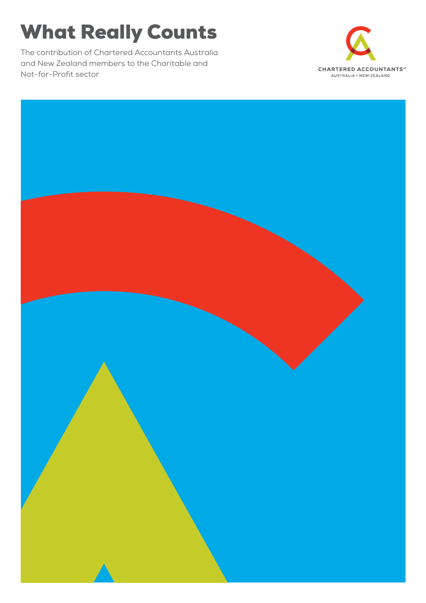# What Really Counts

The contribution of Chartered Accountants Australia and New Zealand members to the Charitable and Not-for-Profit sector



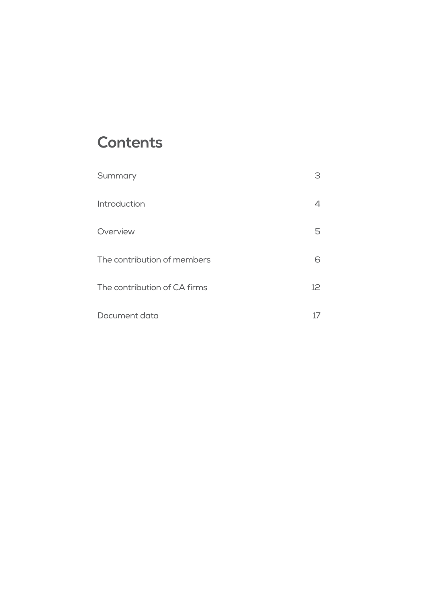## **Contents**

| Summary                      | 3  |
|------------------------------|----|
| Introduction                 |    |
| Overview                     | 5. |
| The contribution of members  | 6  |
| The contribution of CA firms | 12 |
| Document data                |    |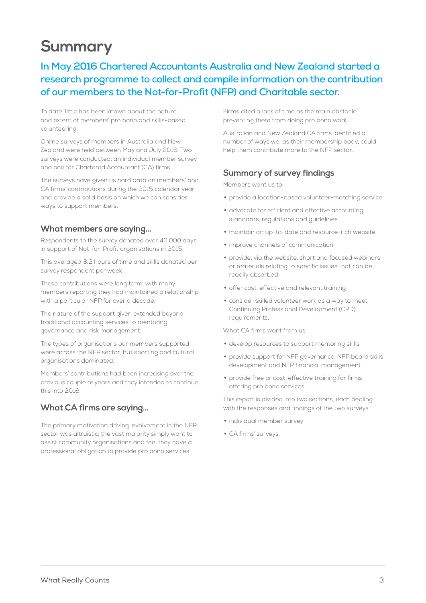## **Summary**

## **In May 2016 Chartered Accountants Australia and New Zealand started a research programme to collect and compile information on the contribution of our members to the Not-for-Profit (NFP) and Charitable sector.**

To date, little has been known about the nature and extent of members' pro bono and skills-based volunteering.

Online surveys of members in Australia and New Zealand were held between May and July 2016. Two surveys were conducted: an individual member survey and one for Chartered Accountant (CA) firms.

The surveys have given us hard data on members' and CA firms' contributions during the 2015 calendar year, and provide a solid basis on which we can consider ways to support members.

#### **What members are saying…**

Respondents to the survey donated over 40,000 days in support of Not-for-Profit organisations in 2015.

This averaged 3.2 hours of time and skills donated per survey respondent per week

These contributions were long term, with many members reporting they had maintained a relationship with a particular NFP for over a decade.

The nature of the support given extended beyond traditional accounting services to mentoring, governance and risk management.

The types of organisations our members supported were across the NFP sector, but sporting and cultural organisations dominated.

Members' contributions had been increasing over the previous couple of years and they intended to continue this into 2016.

## **What CA firms are saying…**

The primary motivation driving involvement in the NFP sector was altruistic; the vast majority simply want to assist community organisations and feel they have a professional obligation to provide pro bono services.

Firms cited a lack of time as the main obstacle preventing them from doing pro bono work.

Australian and New Zealand CA firms identified a number of ways we, as their membership body, could help them contribute more to the NFP sector.

### **Summary of survey findings**

Members want us to:

- provide a location-based volunteer-matching service
- advocate for efficient and effective accounting standards, regulations and guidelines
- maintain an up-to-date and resource-rich website
- improve channels of communication
- provide, via the website, short and focused webinars or materials relating to specific issues that can be readily absorbed
- offer cost-effective and relevant training
- consider skilled volunteer work as a way to meet Continuing Professional Development (CPD) requirements.

What CA firms want from us:

- develop resources to support mentoring skills
- provide support for NFP governance, NFP board skills development and NFP financial management
- provide free or cost-effective training for firms offering pro bono services.

This report is divided into two sections, each dealing with the responses and findings of the two surveys:

- individual member survey
- CA firms' surveys.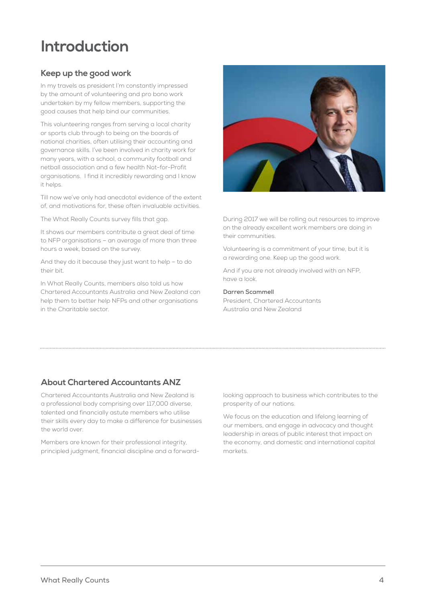## **Introduction**

## **Keep up the good work**

In my travels as president I'm constantly impressed by the amount of volunteering and pro bono work undertaken by my fellow members, supporting the good causes that help bind our communities.

This volunteering ranges from serving a local charity or sports club through to being on the boards of national charities, often utilising their accounting and governance skills. I've been involved in charity work for many years, with a school, a community football and netball association and a few health Not-for-Profit organisations. I find it incredibly rewarding and I know it helps.

Till now we've only had anecdotal evidence of the extent of, and motivations for, these often invaluable activities.

The What Really Counts survey fills that gap.

It shows our members contribute a great deal of time to NFP organisations – an average of more than three hours a week, based on the survey.

And they do it because they just want to help – to do their bit.

In What Really Counts, members also told us how Chartered Accountants Australia and New Zealand can help them to better help NFPs and other organisations in the Charitable sector.



During 2017 we will be rolling out resources to improve on the already excellent work members are doing in their communities.

Volunteering is a commitment of your time, but it is a rewarding one. Keep up the good work.

And if you are not already involved with an NFP, have a look.

#### **Darren Scammell**

President, Chartered Accountants Australia and New Zealand

## **About Chartered Accountants ANZ**

Chartered Accountants Australia and New Zealand is a professional body comprising over 117,000 diverse, talented and financially astute members who utilise their skills every day to make a difference for businesses the world over.

Members are known for their professional integrity, principled judgment, financial discipline and a forwardlooking approach to business which contributes to the prosperity of our nations.

We focus on the education and lifelong learning of our members, and engage in advocacy and thought leadership in areas of public interest that impact on the economy, and domestic and international capital markets.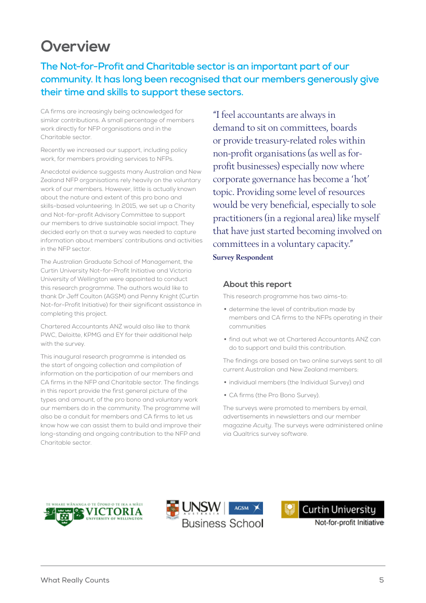## **Overview**

**The Not-for-Profit and Charitable sector is an important part of our community. It has long been recognised that our members generously give their time and skills to support these sectors.** 

CA firms are increasingly being acknowledged for similar contributions. A small percentage of members work directly for NFP organisations and in the Charitable sector.

Recently we increased our support, including policy work, for members providing services to NFPs.

Anecdotal evidence suggests many Australian and New Zealand NFP organisations rely heavily on the voluntary work of our members. However, little is actually known about the nature and extent of this pro bono and skills-based volunteering. In 2015, we set up a Charity and Not-for-profit Advisory Committee to support our members to drive sustainable social impact. They decided early on that a survey was needed to capture information about members' contributions and activities in the NFP sector.

The Australian Graduate School of Management, the Curtin University Not-for-Profit Initiative and Victoria University of Wellington were appointed to conduct this research programme. The authors would like to thank Dr Jeff Coulton (AGSM) and Penny Knight (Curtin Not-for-Profit Initiative) for their significant assistance in completing this project.

Chartered Accountants ANZ would also like to thank PWC, Deloitte, KPMG and EY for their additional help with the survey.

This inaugural research programme is intended as the start of ongoing collection and compilation of information on the participation of our members and CA firms in the NFP and Charitable sector. The findings in this report provide the first general picture of the types and amount, of the pro bono and voluntary work our members do in the community. The programme will also be a conduit for members and CA firms to let us know how we can assist them to build and improve their long-standing and ongoing contribution to the NFP and Charitable sector.

"I feel accountants are always in demand to sit on committees, boards or provide treasury-related roles within non-profit organisations (as well as forprofit businesses) especially now where corporate governance has become a 'hot' topic. Providing some level of resources would be very beneficial, especially to sole practitioners (in a regional area) like myself that have just started becoming involved on committees in a voluntary capacity." Survey Respondent

#### **About this report**

This research programme has two aims-to:

- determine the level of contribution made by members and CA firms to the NFPs operating in their communities
- find out what we at Chartered Accountants ANZ can do to support and build this contribution.

The findings are based on two online surveys sent to all current Australian and New Zealand members:

- individual members (the Individual Survey) and
- CA firms (the Pro Bono Survey).

The surveys were promoted to members by email, advertisements in newsletters and our member magazine *Acuity*. The surveys were administered online via Qualtrics survey software.









Not-for-profit Initiative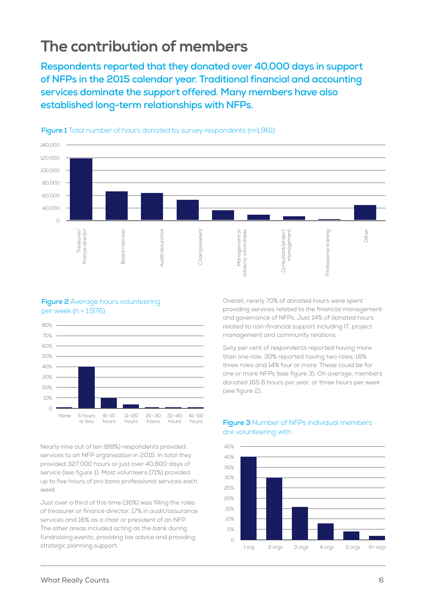## **The contribution of members**

**Respondents reported that they donated over 40,000 days in support of NFPs in the 2015 calendar year. Traditional financial and accounting services dominate the support offered. Many members have also established long-term relationships with NFPs.**



#### **Figure 1** Total number of hours donated by survey respondents (n=1,961)

#### **Figure 2** Average hours volunteering per week (n = 1,976)



Nearly nine out of ten (88%) respondents provided services to an NFP organisation in 2015. In total they provided 327,000 hours or just over 40,800 days of service (see figure 1). Most volunteers (71%) provided up to five hours of pro bono professional services each week.

Just over a third of this time (36%) was filling the roles of treasurer or finance director, 17% in audit/assurance services and 16% as a chair or president of an NFP. The other areas included acting as the bank during fundraising events, providing tax advice and providing strategic planning support.

Overall, nearly 70% of donated hours were spent providing services related to the financial management and governance of NFPs. Just 14% of donated hours related to non-financial support including IT, project management and community relations.

Sixty per cent of respondents reported having more than one role, 30% reported having two roles, 16% three roles and 14% four or more. These could be for one or more NFPs (see figure 3). On average, members donated 165.6 hours per year, or three hours per week (see figure 2).



#### **Figure 3** Number of NFPs individual members are volunteering with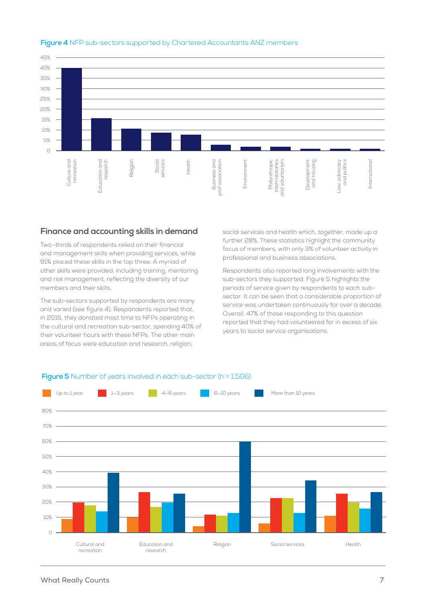

### **Figure 4** NFP sub-sectors supported by Chartered Accountants ANZ members

## **Finance and accounting skills in demand**

Two-thirds of respondents relied on their financial and management skills when providing services, while 91% placed these skills in the top three. A myriad of other skills were provided, including training, mentoring and risk management, reflecting the diversity of our members and their skills.

The sub-sectors supported by respondents are many and varied (see figure 4). Respondents reported that, in 2015, they donated most time to NFPs operating in the cultural and recreation sub-sector, spending 40% of their volunteer hours with these NFPs. The other main areas of focus were education and research, religion,

social services and health which, together, made up a further 28%. These statistics highlight the community focus of members, with only 3% of volunteer activity in professional and business associations.

Respondents also reported long involvements with the sub-sectors they supported. Figure 5 highlights the periods of service given by respondents to each subsector. It can be seen that a considerable proportion of service was undertaken continuously for over a decade. Overall, 47% of those responding to this question reported that they had volunteered for in excess of six years to social service organisations.



#### **Figure 5** Number of years involved in each sub-sector (n = 1,506)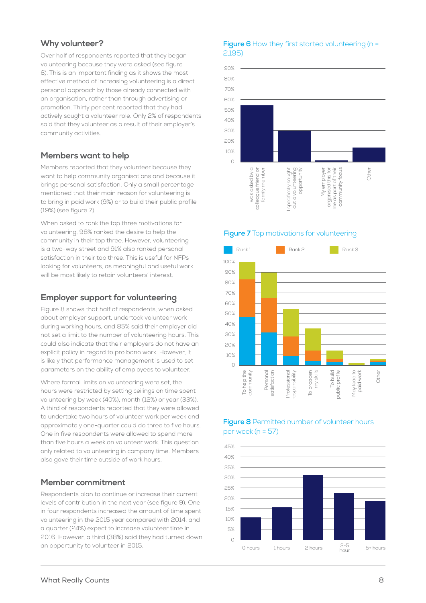### **Why volunteer?**

Over half of respondents reported that they began volunteering because they were asked (see figure 6). This is an important finding as it shows the most effective method of increasing volunteering is a direct personal approach by those already connected with an organisation, rather than through advertising or promotion. Thirty per cent reported that they had actively sought a volunteer role. Only 2% of respondents said that they volunteer as a result of their employer's community activities.

## **Members want to help**

Members reported that they volunteer because they want to help community organisations and because it brings personal satisfaction. Only a small percentage mentioned that their main reason for volunteering is to bring in paid work (9%) or to build their public profile (19%) (see figure 7).

When asked to rank the top three motivations for volunteering, 98% ranked the desire to help the community in their top three. However, volunteering is a two-way street and 91% also ranked personal satisfaction in their top three. This is useful for NFPs looking for volunteers, as meaningful and useful work will be most likely to retain volunteers' interest.

## **Employer support for volunteering**

Figure 8 shows that half of respondents, when asked about employer support, undertook volunteer work during working hours, and 85% said their employer did not set a limit to the number of volunteering hours. This could also indicate that their employers do not have an explicit policy in regard to pro bono work. However, it is likely that performance management is used to set parameters on the ability of employees to volunteer.

Where formal limits on volunteering were set, the hours were restricted by setting ceilings on time spent volunteering by week (40%), month (12%) or year (33%). A third of respondents reported that they were allowed to undertake two hours of volunteer work per week and approximately one-quarter could do three to five hours. One in five respondents were allowed to spend more than five hours a week on volunteer work. This question only related to volunteering in company time. Members also gave their time outside of work hours.

#### **Member commitment**

Respondents plan to continue or increase their current levels of contribution in the next year (see figure 9). One in four respondents increased the amount of time spent volunteering in the 2015 year compared with 2014, and a quarter (24%) expect to increase volunteer time in 2016. However, a third (38%) said they had turned down an opportunity to volunteer in 2015.

#### **Figure 6** How they first started volunteering (n = 2,195)



#### **Figure 7** Top motivations for volunteering



#### **Figure 8** Permitted number of volunteer hours per week (n = 57)

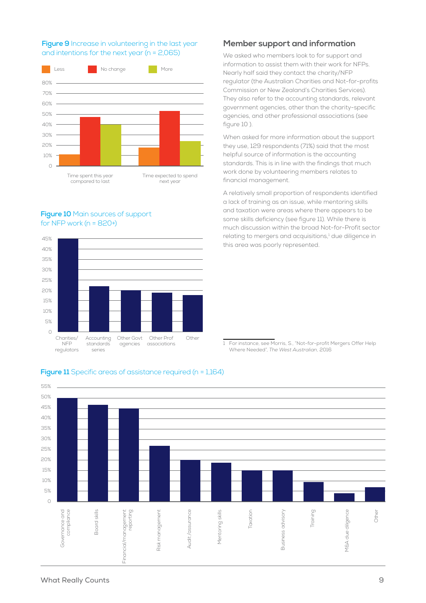#### **Figure 9** Increase in volunteering in the last year and intentions for the next year (n = 2,065)



#### **Figure 10** Main sources of support for NFP work ( $n = 820+$ )



#### **Member support and information**

We asked who members look to for support and information to assist them with their work for NFPs. Nearly half said they contact the charity/NFP regulator (the Australian Charities and Not-for-profits Commission or New Zealand's Charities Services). They also refer to the accounting standards, relevant government agencies, other than the charity-specific agencies, and other professional associations (see figure 10 ).

When asked for more information about the support they use, 129 respondents (71%) said that the most helpful source of information is the accounting standards. This is in line with the findings that much work done by volunteering members relates to financial management.

A relatively small proportion of respondents identified a lack of training as an issue, while mentoring skills and taxation were areas where there appears to be some skills deficiency (see figure 11). While there is much discussion within the broad Not-for-Profit sector relating to mergers and acquisitions,<sup>1</sup> due diligence in this area was poorly represented.

1 For instance, see Morris, S., "Not-for-profit Mergers Offer Help Where Needed", *The West Australian*, 2016



#### **Figure 11** Specific areas of assistance required (n = 1,164)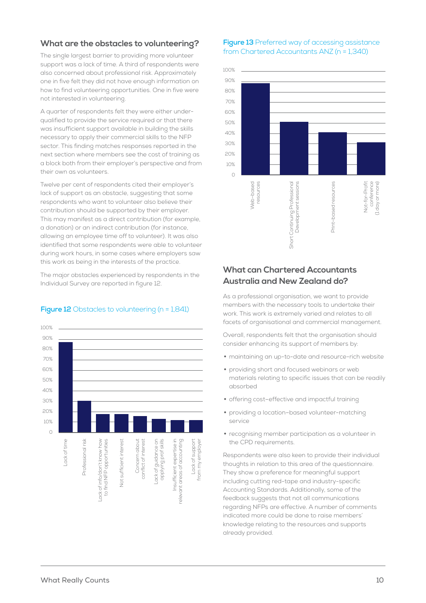### **What are the obstacles to volunteering?**

The single largest barrier to providing more volunteer support was a lack of time. A third of respondents were also concerned about professional risk. Approximately one in five felt they did not have enough information on how to find volunteering opportunities. One in five were not interested in volunteering.

A quarter of respondents felt they were either underqualified to provide the service required or that there was insufficient support available in building the skills necessary to apply their commercial skills to the NFP sector. This finding matches responses reported in the next section where members see the cost of training as a block both from their employer's perspective and from their own as volunteers.

Twelve per cent of respondents cited their employer's lack of support as an obstacle, suggesting that some respondents who want to volunteer also believe their contribution should be supported by their employer. This may manifest as a direct contribution (for example, a donation) or an indirect contribution (for instance, allowing an employee time off to volunteer). It was also identified that some respondents were able to volunteer during work hours, in some cases where employers saw this work as being in the interests of the practice.

The major obstacles experienced by respondents in the Individual Survey are reported in figure 12.

## 100% 90% 80% 70% 60% 50%  $10%$ 30% 20%  $10%$  $\sqrt{2}$ Lack of time<br>Professional risk<br>to find NFP opportunities<br>Not sufficient interest<br>Concern about<br>Concern about<br>coolita of guidance on<br>Lack of guidance on<br>Insufficient expertise in<br>Insufficient expertise in Lack of support from my employer rom my employer ack of support

#### **Figure 12** Obstacles to volunteering (n = 1,841)

#### **Figure 13** Preferred way of accessing assistance from Chartered Accountants ANZ (n = 1,340)



## **What can Chartered Accountants Australia and New Zealand do?**

As a professional organisation, we want to provide members with the necessary tools to undertake their work. This work is extremely varied and relates to all facets of organisational and commercial management.

Overall, respondents felt that the organisation should consider enhancing its support of members by:

- maintaining an up-to-date and resource-rich website
- providing short and focused webinars or web materials relating to specific issues that can be readily absorbed
- offering cost–effective and impactful training
- providing a location–based volunteer-matching service
- recognising member participation as a volunteer in the CPD requirements.

Respondents were also keen to provide their individual thoughts in relation to this area of the questionnaire. They show a preference for meaningful support including cutting red-tape and industry-specific Accounting Standards. Additionally, some of the feedback suggests that not all communications regarding NFPs are effective. A number of comments indicated more could be done to raise members' knowledge relating to the resources and supports already provided.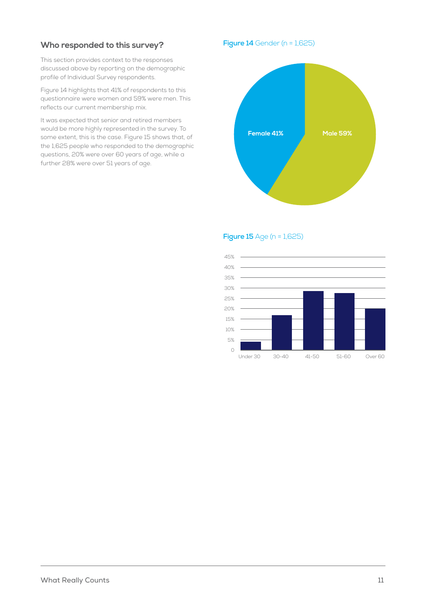## **Who responded to this survey?**

This section provides context to the responses discussed above by reporting on the demographic profile of Individual Survey respondents.

Figure 14 highlights that 41% of respondents to this questionnaire were women and 59% were men. This reflects our current membership mix.

It was expected that senior and retired members would be more highly represented in the survey. To some extent, this is the case. Figure 15 shows that, of the 1,625 people who responded to the demographic questions, 20% were over 60 years of age, while a further 28% were over 51 years of age.

**Figure 14** Gender (n = 1,625)



**Figure 15** Age (n = 1,625)

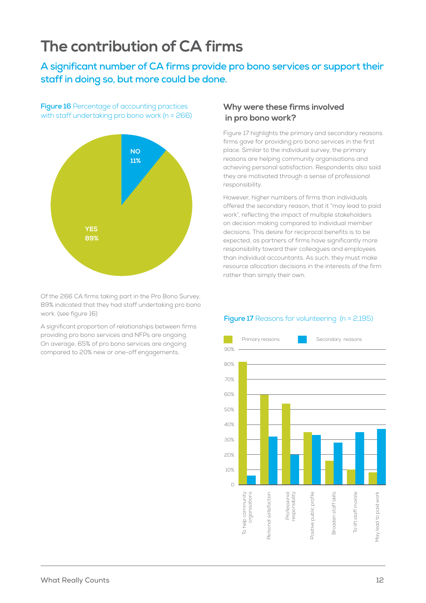## **The contribution of CA firms**

**A significant number of CA firms provide pro bono services or support their staff in doing so, but more could be done.**

**Figure 16** Percentage of accounting practices with staff undertaking pro bono work (n = 266)



Of the 266 CA firms taking part in the Pro Bono Survey, 89% indicated that they had staff undertaking pro bono work. (see figure 16)

A significant proportion of relationships between firms providing pro bono services and NFPs are ongoing. On average, 65% of pro bono services are ongoing compared to 20% new or one-off engagements.

### **Why were these firms involved in pro bono work?**

Figure 17 highlights the primary and secondary reasons firms gave for providing pro bono services in the first place. Similar to the individual survey, the primary reasons are helping community organisations and achieving personal satisfaction. Respondents also said they are motivated through a sense of professional responsibility.

However, higher numbers of firms than individuals offered the secondary reason, that it "may lead to paid work", reflecting the impact of multiple stakeholders on decision making compared to individual member decisions. This desire for reciprocal benefits is to be expected, as partners of firms have significantly more responsibility toward their colleagues and employees than individual accountants. As such, they must make resource allocation decisions in the interests of the firm rather than simply their own.

#### **Figure 17** Reasons for volunteering (n = 2,195)

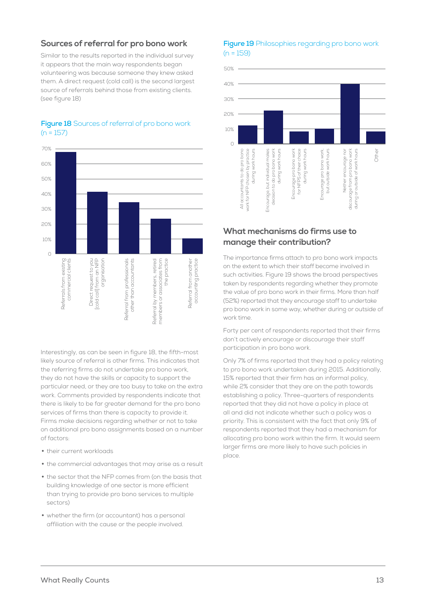### **Sources of referral for pro bono work**

Similar to the results reported in the individual survey it appears that the main way respondents began volunteering was because someone they knew asked them. A direct request (cold call) is the second largest source of referrals behind those from existing clients. (see figure 18)



#### **Figure 18** Sources of referral of pro bono work  $(n = 157)$

Interestingly, as can be seen in figure 18, the fifth-most likely source of referral is other firms. This indicates that the referring firms do not undertake pro bono work, they do not have the skills or capacity to support the particular need, or they are too busy to take on the extra work. Comments provided by respondents indicate that there is likely to be far greater demand for the pro bono services of firms than there is capacity to provide it. Firms make decisions regarding whether or not to take on additional pro bono assignments based on a number of factors:

- their current workloads
- the commercial advantages that may arise as a result
- the sector that the NFP comes from (on the basis that building knowledge of one sector is more efficient than trying to provide pro bono services to multiple sectors)
- whether the firm (or accountant) has a personal affiliation with the cause or the people involved.

#### **Figure 19** Philosophies regarding pro bono work  $(n = 159)$



## **What mechanisms do firms use to manage their contribution?**

The importance firms attach to pro bono work impacts on the extent to which their staff become involved in such activities. Figure 19 shows the broad perspectives taken by respondents regarding whether they promote the value of pro bono work in their firms. More than half (52%) reported that they encourage staff to undertake pro bono work in some way, whether during or outside of work time.

Forty per cent of respondents reported that their firms don't actively encourage or discourage their staff participation in pro bono work.

Only 7% of firms reported that they had a policy relating to pro bono work undertaken during 2015. Additionally, 15% reported that their firm has an informal policy, while 2% consider that they are on the path towards establishing a policy. Three-quarters of respondents reported that they did not have a policy in place at all and did not indicate whether such a policy was a priority. This is consistent with the fact that only 9% of respondents reported that they had a mechanism for allocating pro bono work within the firm. It would seem larger firms are more likely to have such policies in place.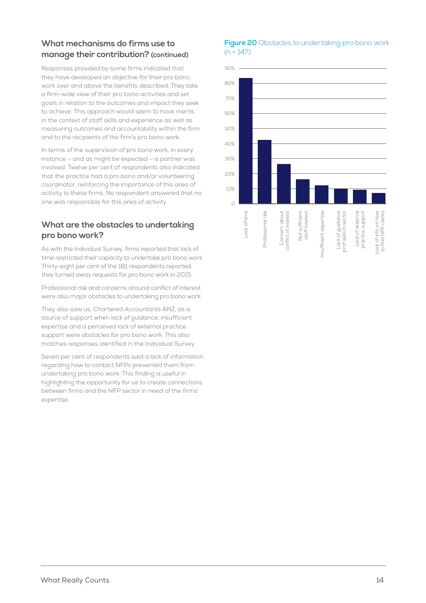## **What mechanisms do firms use to manage their contribution? (continued)**

Responses provided by some firms indicated that they have developed an objective for their pro bono work over and above the benefits described. They take a firm-wide view of their pro bono activities and set goals in relation to the outcomes and impact they seek to achieve. This approach would seem to have merits in the context of staff skills and experience as well as measuring outcomes and accountability within the firm and to the recipients of the firm's pro bono work.

In terms of the supervision of pro bono work, in every instance – and as might be expected – a partner was involved. Twelve per cent of respondents also indicated that the practice had a pro bono and/or volunteering coordinator, reinforcing the importance of this area of activity to these firms. No respondent answered that no one was responsible for this area of activity.

## **What are the obstacles to undertaking pro bono work?**

As with the Individual Survey, firms reported that lack of time restricted their capacity to undertake pro bono work. Thirty-eight per cent of the 181 respondents reported they turned away requests for pro bono work in 2015.

Professional risk and concerns around conflict of interest were also major obstacles to undertaking pro bono work.

They also saw us, Chartered Accountants ANZ, as a source of support when lack of guidance, insufficient expertise and a perceived lack of external practice support were obstacles for pro bono work. This also matches responses identified in the Individual Survey.

Seven per cent of respondents said a lack of information regarding how to contact NFPs prevented them from undertaking pro bono work. This finding is useful in highlighting the opportunity for us to create connections between firms and the NFP sector in need of the firms' expertise.

#### **Figure 20** Obstacles to undertaking pro bono work  $(n = 147)$

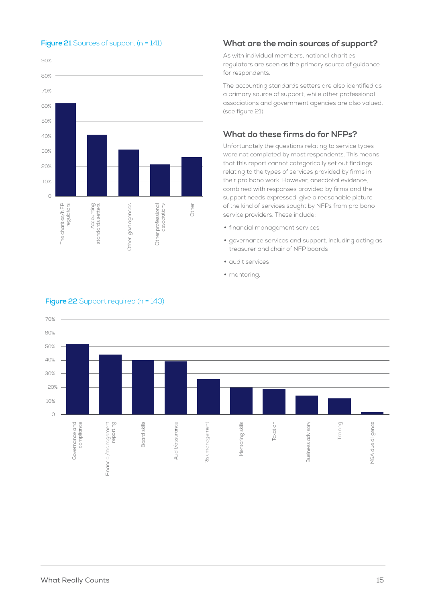

#### **Figure 21** Sources of support (n = 141)

#### **What are the main sources of support?**

As with individual members, national charities regulators are seen as the primary source of guidance for respondents.

The accounting standards setters are also identified as a primary source of support, while other professional associations and government agencies are also valued. (see figure 21).

### **What do these firms do for NFPs?**

Unfortunately the questions relating to service types were not completed by most respondents. This means that this report cannot categorically set out findings relating to the types of services provided by firms in their pro bono work. However, anecdotal evidence, combined with responses provided by firms and the support needs expressed, give a reasonable picture of the kind of services sought by NFPs from pro bono service providers. These include:

- financial management services
- governance services and support, including acting as treasurer and chair of NFP boards
- audit services
- mentoring.



#### **Figure 22** Support required (n = 143)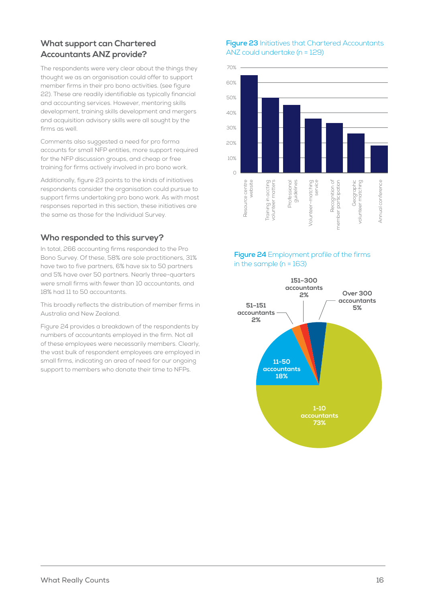## **What support can Chartered Accountants ANZ provide?**

The respondents were very clear about the things they thought we as an organisation could offer to support member firms in their pro bono activities. (see figure 22). These are readily identifiable as typically financial and accounting services. However, mentoring skills development, training skills development and mergers and acquisition advisory skills were all sought by the firms as well.

Comments also suggested a need for pro forma accounts for small NFP entities, more support required for the NFP discussion groups, and cheap or free training for firms actively involved in pro bono work.

Additionally, figure 23 points to the kinds of initiatives respondents consider the organisation could pursue to support firms undertaking pro bono work. As with most responses reported in this section, these initiatives are the same as those for the Individual Survey.

### **Who responded to this survey?**

In total, 266 accounting firms responded to the Pro Bono Survey. Of these, 58% are sole practitioners, 31% have two to five partners, 6% have six to 50 partners and 5% have over 50 partners. Nearly three-quarters were small firms with fewer than 10 accountants, and 18% had 11 to 50 accountants.

This broadly reflects the distribution of member firms in Australia and New Zealand.

Figure 24 provides a breakdown of the respondents by numbers of accountants employed in the firm. Not all of these employees were necessarily members. Clearly, the vast bulk of respondent employees are employed in small firms, indicating an area of need for our ongoing support to members who donate their time to NFPs.

#### **Figure 23** Initiatives that Chartered Accountants ANZ could undertake (n = 129)



### **Figure 24** Employment profile of the firms in the sample  $(n = 163)$